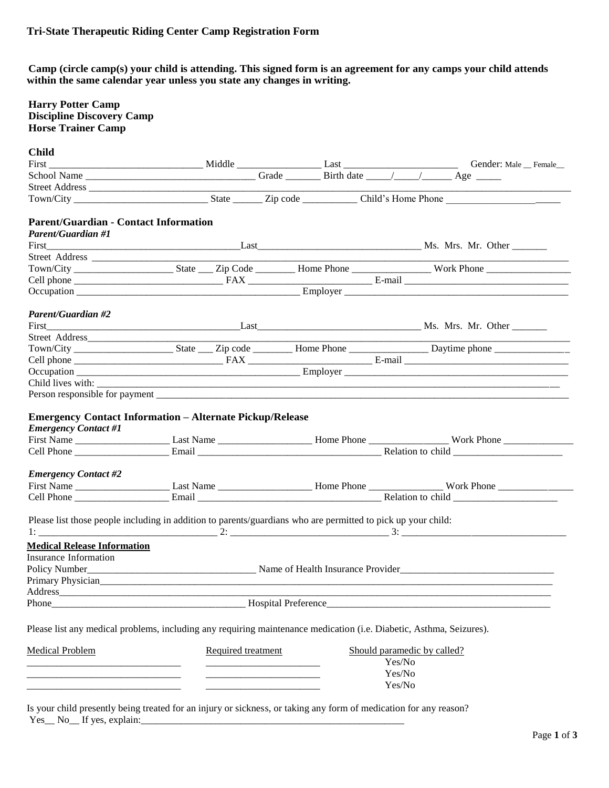**Camp (circle camp(s) your child is attending. This signed form is an agreement for any camps your child attends within the same calendar year unless you state any changes in writing.** 

# **Harry Potter Camp Discipline Discovery Camp Horse Trainer Camp**

### **Child**

| Child                                                                                                                 |                    |  |  |        |                             |                        |  |  |  |  |
|-----------------------------------------------------------------------------------------------------------------------|--------------------|--|--|--------|-----------------------------|------------------------|--|--|--|--|
|                                                                                                                       |                    |  |  |        |                             | Gender: Male _ Female_ |  |  |  |  |
|                                                                                                                       |                    |  |  |        |                             |                        |  |  |  |  |
|                                                                                                                       |                    |  |  |        |                             |                        |  |  |  |  |
|                                                                                                                       |                    |  |  |        |                             |                        |  |  |  |  |
| <b>Parent/Guardian - Contact Information</b>                                                                          |                    |  |  |        |                             |                        |  |  |  |  |
| <b>Parent/Guardian #1</b>                                                                                             |                    |  |  |        |                             |                        |  |  |  |  |
|                                                                                                                       |                    |  |  |        |                             |                        |  |  |  |  |
|                                                                                                                       |                    |  |  |        |                             |                        |  |  |  |  |
|                                                                                                                       |                    |  |  |        |                             |                        |  |  |  |  |
|                                                                                                                       |                    |  |  |        |                             |                        |  |  |  |  |
|                                                                                                                       |                    |  |  |        |                             |                        |  |  |  |  |
| <b>Parent/Guardian #2</b>                                                                                             |                    |  |  |        |                             |                        |  |  |  |  |
|                                                                                                                       |                    |  |  |        |                             |                        |  |  |  |  |
|                                                                                                                       |                    |  |  |        |                             |                        |  |  |  |  |
|                                                                                                                       |                    |  |  |        |                             |                        |  |  |  |  |
|                                                                                                                       |                    |  |  |        |                             |                        |  |  |  |  |
|                                                                                                                       |                    |  |  |        |                             |                        |  |  |  |  |
|                                                                                                                       |                    |  |  |        |                             |                        |  |  |  |  |
|                                                                                                                       |                    |  |  |        |                             |                        |  |  |  |  |
| <b>Emergency Contact #1</b>                                                                                           |                    |  |  |        |                             |                        |  |  |  |  |
|                                                                                                                       |                    |  |  |        |                             |                        |  |  |  |  |
| <b>Emergency Contact #2</b>                                                                                           |                    |  |  |        |                             |                        |  |  |  |  |
|                                                                                                                       |                    |  |  |        |                             |                        |  |  |  |  |
|                                                                                                                       |                    |  |  |        |                             |                        |  |  |  |  |
| Please list those people including in addition to parents/guardians who are permitted to pick up your child:          |                    |  |  |        |                             |                        |  |  |  |  |
|                                                                                                                       |                    |  |  |        |                             |                        |  |  |  |  |
| <b>Medical Release Information</b>                                                                                    |                    |  |  |        |                             |                        |  |  |  |  |
| <b>Insurance Information</b>                                                                                          |                    |  |  |        |                             |                        |  |  |  |  |
|                                                                                                                       |                    |  |  |        |                             |                        |  |  |  |  |
|                                                                                                                       |                    |  |  |        |                             |                        |  |  |  |  |
| Address                                                                                                               |                    |  |  |        |                             |                        |  |  |  |  |
|                                                                                                                       |                    |  |  |        |                             |                        |  |  |  |  |
| Please list any medical problems, including any requiring maintenance medication (i.e. Diabetic, Asthma, Seizures).   |                    |  |  |        |                             |                        |  |  |  |  |
| <b>Medical Problem</b>                                                                                                | Required treatment |  |  |        | Should paramedic by called? |                        |  |  |  |  |
|                                                                                                                       |                    |  |  | Yes/No |                             |                        |  |  |  |  |
| <u> 1980 - Johann Barbara, martin da basar da basar da basar da basar da basar da basar da basar da basar da basa</u> |                    |  |  | Yes/No |                             |                        |  |  |  |  |
|                                                                                                                       |                    |  |  | Yes/No |                             |                        |  |  |  |  |
|                                                                                                                       |                    |  |  |        |                             |                        |  |  |  |  |

Is your child presently being treated for an injury or sickness, or taking any form of medication for any reason? Yes\_ No\_ If yes, explain: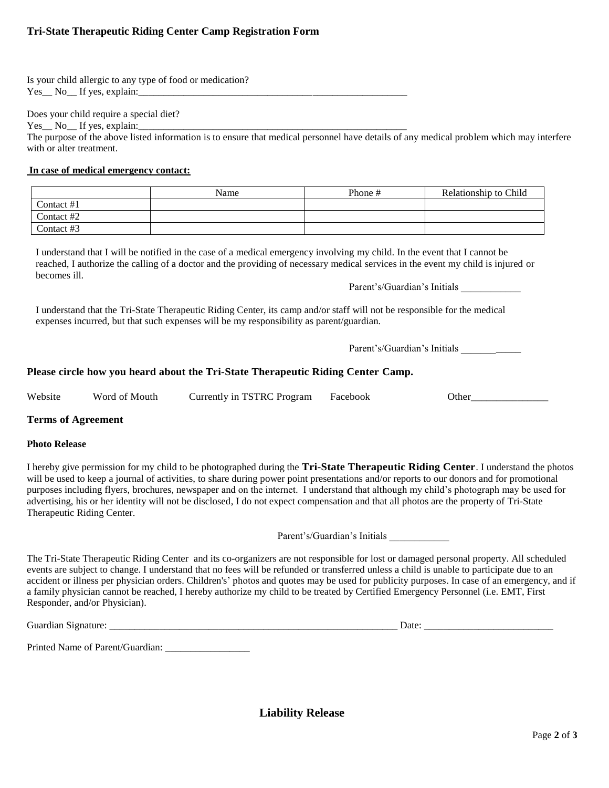# **Tri-State Therapeutic Riding Center Camp Registration Form**

Is your child allergic to any type of food or medication? Yes No If yes, explain:

Does your child require a special diet?

Yes No If yes, explain:

The purpose of the above listed information is to ensure that medical personnel have details of any medical problem which may interfere with or alter treatment.

### **In case of medical emergency contact:**

|            | Name | Phone # | Relationship to Child |
|------------|------|---------|-----------------------|
| Contact #1 |      |         |                       |
| Contact #2 |      |         |                       |
| Contact #3 |      |         |                       |

I understand that I will be notified in the case of a medical emergency involving my child. In the event that I cannot be reached, I authorize the calling of a doctor and the providing of necessary medical services in the event my child is injured or becomes ill.

Parent's/Guardian's Initials \_\_\_\_\_\_\_\_\_\_\_\_

I understand that the Tri-State Therapeutic Riding Center, its camp and/or staff will not be responsible for the medical expenses incurred, but that such expenses will be my responsibility as parent/guardian.

Parent's/Guardian's Initials \_\_\_\_\_\_\_\_\_\_\_\_

### **Please circle how you heard about the Tri-State Therapeutic Riding Center Camp.**

|  | Website | Woro<br>ി<br>Mouth. | . TSTRC<br>Program<br>. urrently 1n ° | :ebook<br>'ас | )thei |
|--|---------|---------------------|---------------------------------------|---------------|-------|
|--|---------|---------------------|---------------------------------------|---------------|-------|

### **Terms of Agreement**

#### **Photo Release**

I hereby give permission for my child to be photographed during the **Tri-State Therapeutic Riding Center**. I understand the photos will be used to keep a journal of activities, to share during power point presentations and/or reports to our donors and for promotional purposes including flyers, brochures, newspaper and on the internet. I understand that although my child's photograph may be used for advertising, his or her identity will not be disclosed, I do not expect compensation and that all photos are the property of Tri-State Therapeutic Riding Center.

Parent's/Guardian's Initials \_\_\_\_\_\_\_\_\_\_\_\_

The Tri-State Therapeutic Riding Center and its co-organizers are not responsible for lost or damaged personal property. All scheduled events are subject to change. I understand that no fees will be refunded or transferred unless a child is unable to participate due to an accident or illness per physician orders. Children's' photos and quotes may be used for publicity purposes. In case of an emergency, and if a family physician cannot be reached, I hereby authorize my child to be treated by Certified Emergency Personnel (i.e. EMT, First Responder, and/or Physician).

Guardian Signature: \_\_\_\_\_\_\_\_\_\_\_\_\_\_\_\_\_\_\_\_\_\_\_\_\_\_\_\_\_\_\_\_\_\_\_\_\_\_\_\_\_\_\_\_\_\_\_\_\_\_\_\_\_\_\_\_\_\_ Date: \_\_\_\_\_\_\_\_\_\_\_\_\_\_\_\_\_\_\_\_\_\_\_\_\_\_

Printed Name of Parent/Guardian: \_\_\_\_\_\_\_\_\_\_\_\_\_\_\_\_\_

**Liability Release**